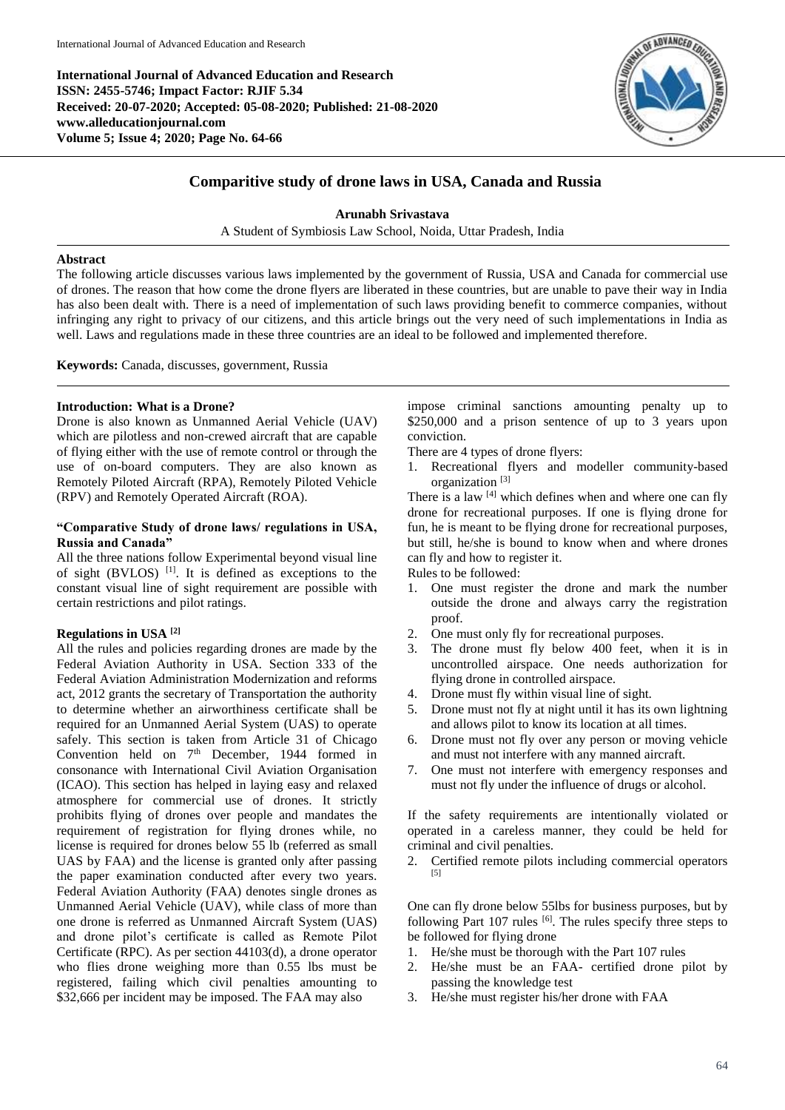**International Journal of Advanced Education and Research ISSN: 2455-5746; Impact Factor: RJIF 5.34 Received: 20-07-2020; Accepted: 05-08-2020; Published: 21-08-2020 www.alleducationjournal.com Volume 5; Issue 4; 2020; Page No. 64-66**



# **Comparitive study of drone laws in USA, Canada and Russia**

**Arunabh Srivastava**

A Student of Symbiosis Law School, Noida, Uttar Pradesh, India

#### **Abstract**

The following article discusses various laws implemented by the government of Russia, USA and Canada for commercial use of drones. The reason that how come the drone flyers are liberated in these countries, but are unable to pave their way in India has also been dealt with. There is a need of implementation of such laws providing benefit to commerce companies, without infringing any right to privacy of our citizens, and this article brings out the very need of such implementations in India as well. Laws and regulations made in these three countries are an ideal to be followed and implemented therefore.

**Keywords:** Canada, discusses, government, Russia

#### **Introduction: What is a Drone?**

Drone is also known as Unmanned Aerial Vehicle (UAV) which are pilotless and non-crewed aircraft that are capable of flying either with the use of remote control or through the use of on-board computers. They are also known as Remotely Piloted Aircraft (RPA), Remotely Piloted Vehicle (RPV) and Remotely Operated Aircraft (ROA).

## **"Comparative Study of drone laws/ regulations in USA, Russia and Canada"**

All the three nations follow Experimental beyond visual line of sight (BVLOS)<sup>[1]</sup>. It is defined as exceptions to the constant visual line of sight requirement are possible with certain restrictions and pilot ratings.

## **Regulations in USA [2]**

All the rules and policies regarding drones are made by the Federal Aviation Authority in USA. Section 333 of the Federal Aviation Administration Modernization and reforms act, 2012 grants the secretary of Transportation the authority to determine whether an airworthiness certificate shall be required for an Unmanned Aerial System (UAS) to operate safely. This section is taken from Article 31 of Chicago Convention held on 7<sup>th</sup> December, 1944 formed in consonance with International Civil Aviation Organisation (ICAO). This section has helped in laying easy and relaxed atmosphere for commercial use of drones. It strictly prohibits flying of drones over people and mandates the requirement of registration for flying drones while, no license is required for drones below 55 lb (referred as small UAS by FAA) and the license is granted only after passing the paper examination conducted after every two years. Federal Aviation Authority (FAA) denotes single drones as Unmanned Aerial Vehicle (UAV), while class of more than one drone is referred as Unmanned Aircraft System (UAS) and drone pilot's certificate is called as Remote Pilot Certificate (RPC). As per section 44103(d), a drone operator who flies drone weighing more than 0.55 lbs must be registered, failing which civil penalties amounting to \$32,666 per incident may be imposed. The FAA may also

impose criminal sanctions amounting penalty up to \$250,000 and a prison sentence of up to 3 years upon conviction.

There are 4 types of drone flyers:

1. Recreational flyers and modeller community-based organization [3]

There is a law <sup>[4]</sup> which defines when and where one can fly drone for recreational purposes. If one is flying drone for fun, he is meant to be flying drone for recreational purposes, but still, he/she is bound to know when and where drones can fly and how to register it.

Rules to be followed:

- 1. One must register the drone and mark the number outside the drone and always carry the registration proof.
- 2. One must only fly for recreational purposes.
- 3. The drone must fly below 400 feet, when it is in uncontrolled airspace. One needs authorization for flying drone in controlled airspace.
- 4. Drone must fly within visual line of sight.
- 5. Drone must not fly at night until it has its own lightning and allows pilot to know its location at all times.
- 6. Drone must not fly over any person or moving vehicle and must not interfere with any manned aircraft.
- 7. One must not interfere with emergency responses and must not fly under the influence of drugs or alcohol.

If the safety requirements are intentionally violated or operated in a careless manner, they could be held for criminal and civil penalties.

2. Certified remote pilots including commercial operators [5]

One can fly drone below 55lbs for business purposes, but by following Part 107 rules <sup>[6]</sup>. The rules specify three steps to be followed for flying drone

- 1. He/she must be thorough with the Part 107 rules
- 2. He/she must be an FAA- certified drone pilot by passing the knowledge test
- 3. He/she must register his/her drone with FAA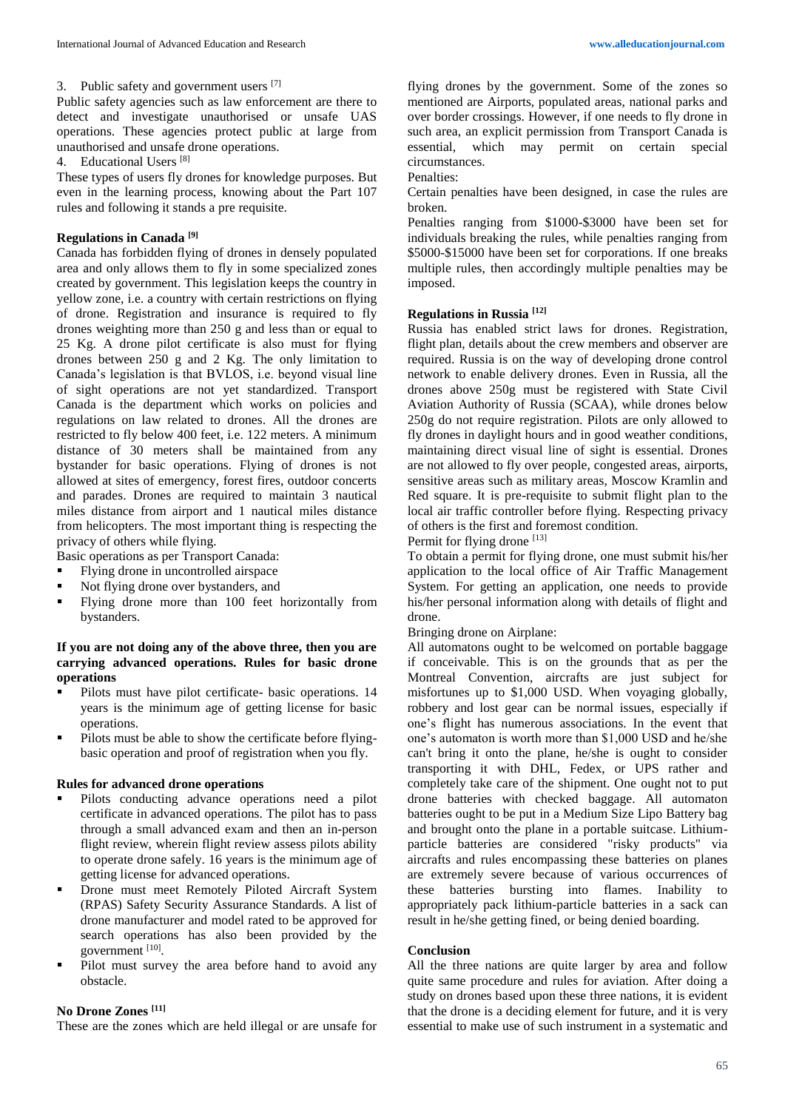## 3. Public safety and government users [7]

Public safety agencies such as law enforcement are there to detect and investigate unauthorised or unsafe UAS operations. These agencies protect public at large from unauthorised and unsafe drone operations.

4. Educational Users [8]

These types of users fly drones for knowledge purposes. But even in the learning process, knowing about the Part 107 rules and following it stands a pre requisite.

### **Regulations in Canada [9]**

Canada has forbidden flying of drones in densely populated area and only allows them to fly in some specialized zones created by government. This legislation keeps the country in yellow zone, i.e. a country with certain restrictions on flying of drone. Registration and insurance is required to fly drones weighting more than 250 g and less than or equal to 25 Kg. A drone pilot certificate is also must for flying drones between 250 g and 2 Kg. The only limitation to Canada's legislation is that BVLOS, i.e. beyond visual line of sight operations are not yet standardized. Transport Canada is the department which works on policies and regulations on law related to drones. All the drones are restricted to fly below 400 feet, i.e. 122 meters. A minimum distance of 30 meters shall be maintained from any bystander for basic operations. Flying of drones is not allowed at sites of emergency, forest fires, outdoor concerts and parades. Drones are required to maintain 3 nautical miles distance from airport and 1 nautical miles distance from helicopters. The most important thing is respecting the privacy of others while flying.

Basic operations as per Transport Canada:<br>Elving drope in uncontrolled airspace

- Flying drone in uncontrolled airspace
- Not flying drone over bystanders, and<br>• Flying drone more than 100 feet 1
- Flying drone more than 100 feet horizontally from bystanders.

### **If you are not doing any of the above three, then you are carrying advanced operations. Rules for basic drone operations**

- Pilots must have pilot certificate- basic operations. 14 years is the minimum age of getting license for basic operations.
- Pilots must be able to show the certificate before flyingbasic operation and proof of registration when you fly.

### **Rules for advanced drone operations**

- Pilots conducting advance operations need a pilot certificate in advanced operations. The pilot has to pass through a small advanced exam and then an in-person flight review, wherein flight review assess pilots ability to operate drone safely. 16 years is the minimum age of getting license for advanced operations.
- Drone must meet Remotely Piloted Aircraft System (RPAS) Safety Security Assurance Standards. A list of drone manufacturer and model rated to be approved for search operations has also been provided by the government [10].
- Pilot must survey the area before hand to avoid any obstacle.

#### **No Drone Zones [11]**

These are the zones which are held illegal or are unsafe for

flying drones by the government. Some of the zones so mentioned are Airports, populated areas, national parks and over border crossings. However, if one needs to fly drone in such area, an explicit permission from Transport Canada is essential, which may permit on certain special circumstances.

Penalties:

Certain penalties have been designed, in case the rules are broken.

Penalties ranging from \$1000-\$3000 have been set for individuals breaking the rules, while penalties ranging from \$5000-\$15000 have been set for corporations. If one breaks multiple rules, then accordingly multiple penalties may be imposed.

#### **Regulations in Russia [12]**

Russia has enabled strict laws for drones. Registration, flight plan, details about the crew members and observer are required. Russia is on the way of developing drone control network to enable delivery drones. Even in Russia, all the drones above 250g must be registered with State Civil Aviation Authority of Russia (SCAA), while drones below 250g do not require registration. Pilots are only allowed to fly drones in daylight hours and in good weather conditions, maintaining direct visual line of sight is essential. Drones are not allowed to fly over people, congested areas, airports, sensitive areas such as military areas, Moscow Kramlin and Red square. It is pre-requisite to submit flight plan to the local air traffic controller before flying. Respecting privacy of others is the first and foremost condition.

Permit for flying drone [13]

To obtain a permit for flying drone, one must submit his/her application to the local office of Air Traffic Management System. For getting an application, one needs to provide his/her personal information along with details of flight and drone.

Bringing drone on Airplane:

All automatons ought to be welcomed on portable baggage if conceivable. This is on the grounds that as per the Montreal Convention, aircrafts are just subject for misfortunes up to \$1,000 USD. When voyaging globally, robbery and lost gear can be normal issues, especially if one's flight has numerous associations. In the event that one's automaton is worth more than \$1,000 USD and he/she can't bring it onto the plane, he/she is ought to consider transporting it with DHL, Fedex, or UPS rather and completely take care of the shipment. One ought not to put drone batteries with checked baggage. All automaton batteries ought to be put in a Medium Size Lipo Battery bag and brought onto the plane in a portable suitcase. Lithiumparticle batteries are considered "risky products" via aircrafts and rules encompassing these batteries on planes are extremely severe because of various occurrences of these batteries bursting into flames. Inability to appropriately pack lithium-particle batteries in a sack can result in he/she getting fined, or being denied boarding.

#### **Conclusion**

All the three nations are quite larger by area and follow quite same procedure and rules for aviation. After doing a study on drones based upon these three nations, it is evident that the drone is a deciding element for future, and it is very essential to make use of such instrument in a systematic and